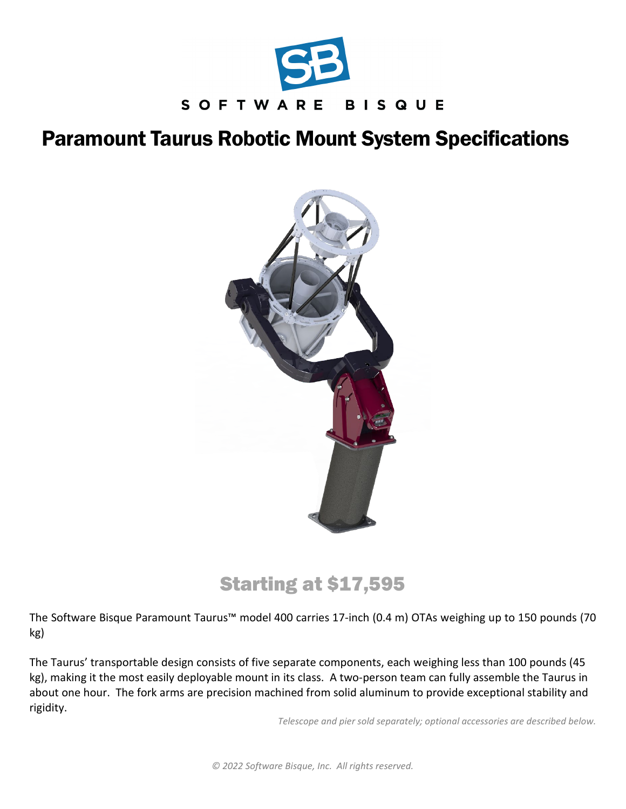

# Paramount Taurus Robotic Mount System Specifications



# Starting at \$17,595

The Software Bisque Paramount Taurus™ model 400 carries 17-inch (0.4 m) OTAs weighing up to 150 pounds (70 kg)

The Taurus' transportable design consists of five separate components, each weighing less than 100 pounds (45 kg), making it the most easily deployable mount in its class. A two-person team can fully assemble the Taurus in about one hour. The fork arms are precision machined from solid aluminum to provide exceptional stability and rigidity.

*Telescope and pier sold separately; optional accessories are described below.*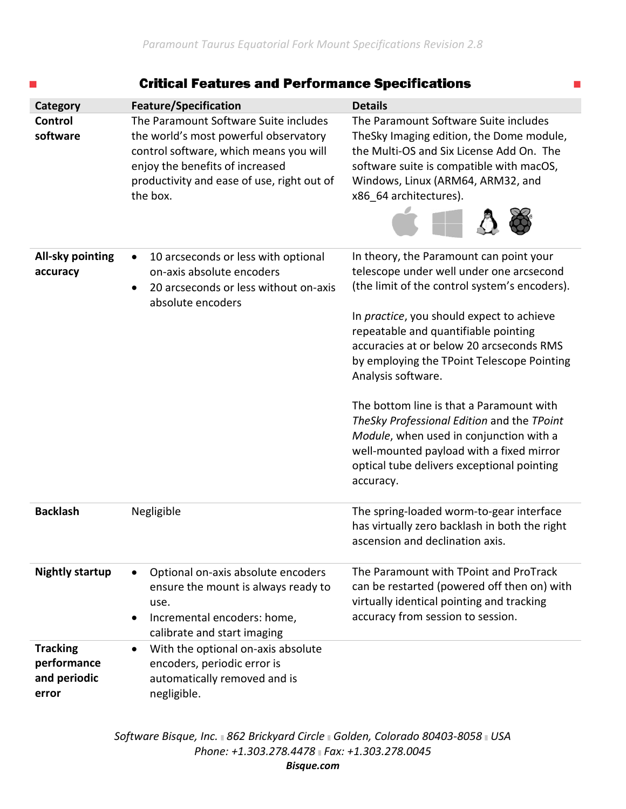| ▄                                                       | <b>Critical Features and Performance Specifications</b>                                                                                                                                                               |                                                                                                                                                                                                                                                                                                                                                                                                                                                                                                                                                                                       |
|---------------------------------------------------------|-----------------------------------------------------------------------------------------------------------------------------------------------------------------------------------------------------------------------|---------------------------------------------------------------------------------------------------------------------------------------------------------------------------------------------------------------------------------------------------------------------------------------------------------------------------------------------------------------------------------------------------------------------------------------------------------------------------------------------------------------------------------------------------------------------------------------|
| Category                                                | <b>Feature/Specification</b>                                                                                                                                                                                          | <b>Details</b>                                                                                                                                                                                                                                                                                                                                                                                                                                                                                                                                                                        |
| <b>Control</b><br>software                              | The Paramount Software Suite includes<br>the world's most powerful observatory<br>control software, which means you will<br>enjoy the benefits of increased<br>productivity and ease of use, right out of<br>the box. | The Paramount Software Suite includes<br>TheSky Imaging edition, the Dome module,<br>the Multi-OS and Six License Add On. The<br>software suite is compatible with macOS,<br>Windows, Linux (ARM64, ARM32, and<br>x86_64 architectures).                                                                                                                                                                                                                                                                                                                                              |
| <b>All-sky pointing</b><br>accuracy                     | 10 arcseconds or less with optional<br>on-axis absolute encoders<br>20 arcseconds or less without on-axis<br>absolute encoders                                                                                        | In theory, the Paramount can point your<br>telescope under well under one arcsecond<br>(the limit of the control system's encoders).<br>In practice, you should expect to achieve<br>repeatable and quantifiable pointing<br>accuracies at or below 20 arcseconds RMS<br>by employing the TPoint Telescope Pointing<br>Analysis software.<br>The bottom line is that a Paramount with<br>TheSky Professional Edition and the TPoint<br>Module, when used in conjunction with a<br>well-mounted payload with a fixed mirror<br>optical tube delivers exceptional pointing<br>accuracy. |
| <b>Backlash</b>                                         | Negligible                                                                                                                                                                                                            | The spring-loaded worm-to-gear interface<br>has virtually zero backlash in both the right<br>ascension and declination axis.                                                                                                                                                                                                                                                                                                                                                                                                                                                          |
| <b>Nightly startup</b>                                  | Optional on-axis absolute encoders<br>$\bullet$<br>ensure the mount is always ready to<br>use.<br>Incremental encoders: home,<br>$\bullet$<br>calibrate and start imaging                                             | The Paramount with TPoint and ProTrack<br>can be restarted (powered off then on) with<br>virtually identical pointing and tracking<br>accuracy from session to session.                                                                                                                                                                                                                                                                                                                                                                                                               |
| <b>Tracking</b><br>performance<br>and periodic<br>error | With the optional on-axis absolute<br>$\bullet$<br>encoders, periodic error is<br>automatically removed and is<br>negligible.                                                                                         |                                                                                                                                                                                                                                                                                                                                                                                                                                                                                                                                                                                       |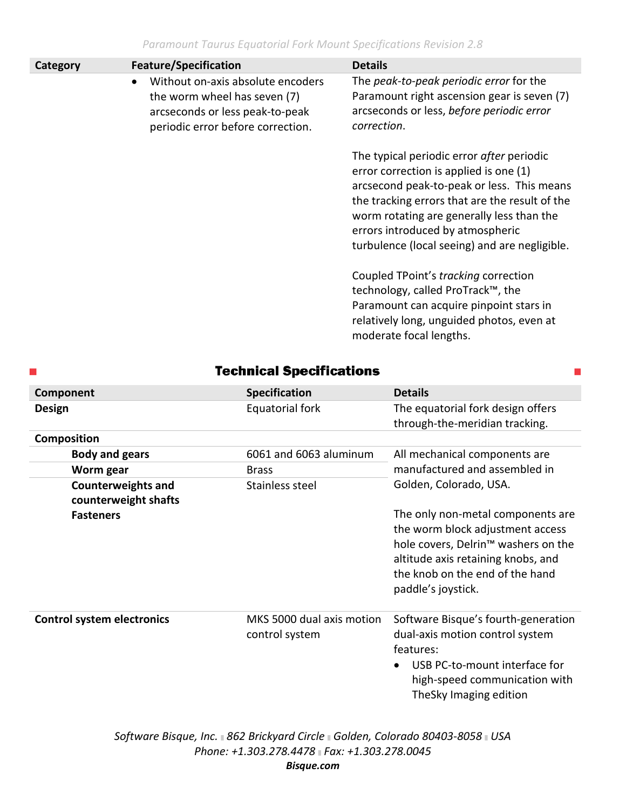*Paramount Taurus Equatorial Fork Mount Specifications Revision 2.8*

| Category | <b>Feature/Specification</b>                                                                                                              | <b>Details</b>                                                                                                                                                                                                                                                                                                        |
|----------|-------------------------------------------------------------------------------------------------------------------------------------------|-----------------------------------------------------------------------------------------------------------------------------------------------------------------------------------------------------------------------------------------------------------------------------------------------------------------------|
|          | Without on-axis absolute encoders<br>the worm wheel has seven (7)<br>arcseconds or less peak-to-peak<br>periodic error before correction. | The peak-to-peak periodic error for the<br>Paramount right ascension gear is seven (7)<br>arcseconds or less, before periodic error<br>correction.                                                                                                                                                                    |
|          |                                                                                                                                           | The typical periodic error after periodic<br>error correction is applied is one (1)<br>arcsecond peak-to-peak or less. This means<br>the tracking errors that are the result of the<br>worm rotating are generally less than the<br>errors introduced by atmospheric<br>turbulence (local seeing) and are negligible. |
|          |                                                                                                                                           | Coupled TPoint's tracking correction<br>technology, called ProTrack™, the<br>Paramount can acquire pinpoint stars in<br>relatively long, unguided photos, even at<br>moderate focal lengths.                                                                                                                          |

## **Technical Specifications**

| Component                                         | <b>Specification</b>                        | <b>Details</b>                                                                                                                                                                                                          |  |
|---------------------------------------------------|---------------------------------------------|-------------------------------------------------------------------------------------------------------------------------------------------------------------------------------------------------------------------------|--|
| <b>Design</b>                                     | Equatorial fork                             | The equatorial fork design offers<br>through-the-meridian tracking.                                                                                                                                                     |  |
| <b>Composition</b>                                |                                             |                                                                                                                                                                                                                         |  |
| <b>Body and gears</b>                             | 6061 and 6063 aluminum                      | All mechanical components are                                                                                                                                                                                           |  |
| Worm gear                                         | <b>Brass</b>                                | manufactured and assembled in                                                                                                                                                                                           |  |
| <b>Counterweights and</b><br>counterweight shafts | Stainless steel                             | Golden, Colorado, USA.                                                                                                                                                                                                  |  |
| <b>Fasteners</b>                                  |                                             | The only non-metal components are<br>the worm block adjustment access<br>hole covers, Delrin <sup>™</sup> washers on the<br>altitude axis retaining knobs, and<br>the knob on the end of the hand<br>paddle's joystick. |  |
| <b>Control system electronics</b>                 | MKS 5000 dual axis motion<br>control system | Software Bisque's fourth-generation<br>dual-axis motion control system<br>features:<br>USB PC-to-mount interface for<br>high-speed communication with<br>TheSky Imaging edition                                         |  |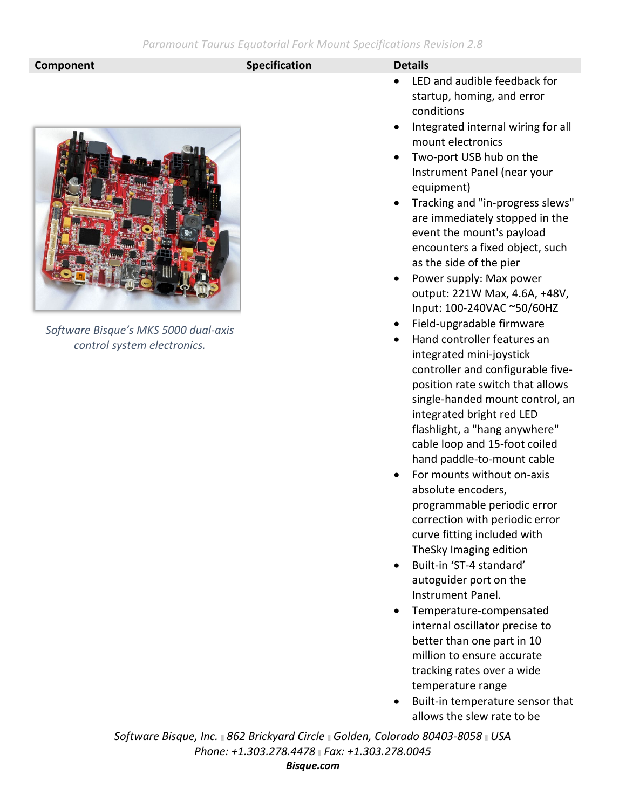### **Component Component Component Component Component Component Component Component Component Component Component Component Component Component Component Component Component Component Compo**



*Software Bisque's MKS 5000 dual-axis control system electronics.*

- LED and audible feedback for startup, homing, and error conditions
- Integrated internal wiring for all mount electronics
- Two-port USB hub on the Instrument Panel (near your equipment)
- Tracking and "in-progress slews" are immediately stopped in the event the mount's payload encounters a fixed object, such as the side of the pier
- Power supply: Max power output: 221W Max, 4.6A, +48V, Input: 100-240VAC ~50/60HZ
- Field-upgradable firmware
- Hand controller features an integrated mini-joystick controller and configurable fiveposition rate switch that allows single-handed mount control, an integrated bright red LED flashlight, a "hang anywhere" cable loop and 15-foot coiled hand paddle-to-mount cable
- For mounts without on-axis absolute encoders, programmable periodic error correction with periodic error curve fitting included with TheSky Imaging edition
- Built-in 'ST-4 standard' autoguider port on the Instrument Panel.
- Temperature-compensated internal oscillator precise to better than one part in 10 million to ensure accurate tracking rates over a wide temperature range
- Built-in temperature sensor that allows the slew rate to be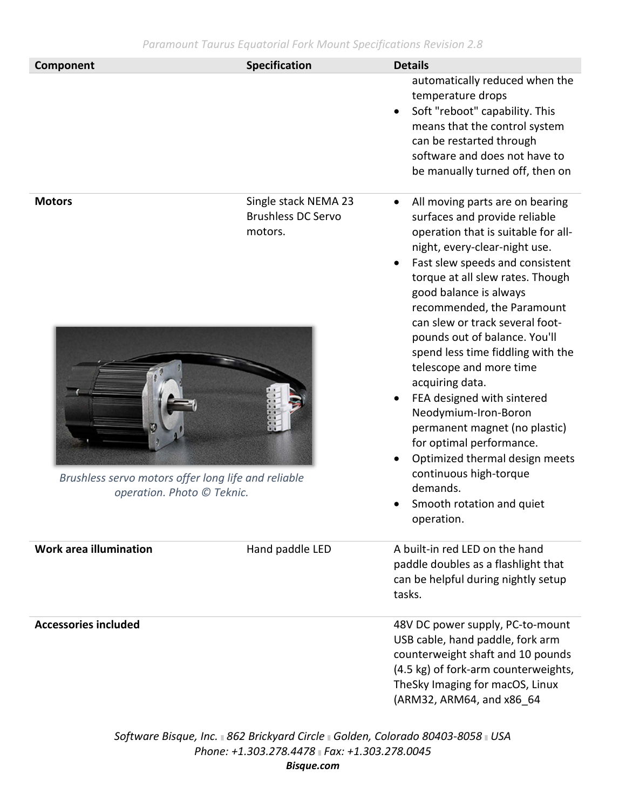| Component                                                                                          | <b>Specification</b>                                         | <b>Details</b>                                                                                                                                                                                                                                                                                                                                                                                                                                                                                                                                                                                                                                                                    |  |
|----------------------------------------------------------------------------------------------------|--------------------------------------------------------------|-----------------------------------------------------------------------------------------------------------------------------------------------------------------------------------------------------------------------------------------------------------------------------------------------------------------------------------------------------------------------------------------------------------------------------------------------------------------------------------------------------------------------------------------------------------------------------------------------------------------------------------------------------------------------------------|--|
|                                                                                                    |                                                              | automatically reduced when the<br>temperature drops<br>Soft "reboot" capability. This<br>$\bullet$<br>means that the control system<br>can be restarted through<br>software and does not have to<br>be manually turned off, then on                                                                                                                                                                                                                                                                                                                                                                                                                                               |  |
| <b>Motors</b><br>Brushless servo motors offer long life and reliable<br>operation. Photo © Teknic. | Single stack NEMA 23<br><b>Brushless DC Servo</b><br>motors. | All moving parts are on bearing<br>$\bullet$<br>surfaces and provide reliable<br>operation that is suitable for all-<br>night, every-clear-night use.<br>Fast slew speeds and consistent<br>torque at all slew rates. Though<br>good balance is always<br>recommended, the Paramount<br>can slew or track several foot-<br>pounds out of balance. You'll<br>spend less time fiddling with the<br>telescope and more time<br>acquiring data.<br>FEA designed with sintered<br>Neodymium-Iron-Boron<br>permanent magnet (no plastic)<br>for optimal performance.<br>Optimized thermal design meets<br>continuous high-torque<br>demands.<br>Smooth rotation and quiet<br>operation. |  |
| Work area illumination                                                                             | Hand paddle LED                                              | A built-in red LED on the hand<br>paddle doubles as a flashlight that<br>can be helpful during nightly setup<br>tasks.                                                                                                                                                                                                                                                                                                                                                                                                                                                                                                                                                            |  |
| <b>Accessories included</b>                                                                        |                                                              | 48V DC power supply, PC-to-mount<br>USB cable, hand paddle, fork arm<br>counterweight shaft and 10 pounds<br>(4.5 kg) of fork-arm counterweights,<br>TheSky Imaging for macOS, Linux<br>(ARM32, ARM64, and x86_64                                                                                                                                                                                                                                                                                                                                                                                                                                                                 |  |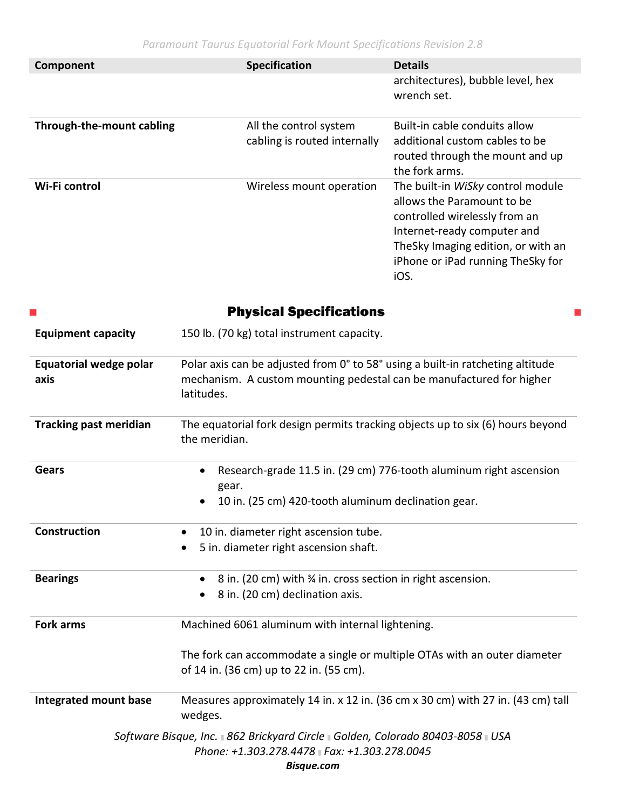| Component                 | <b>Specification</b>                                   | <b>Details</b>                                                                                                                                                                                                     |
|---------------------------|--------------------------------------------------------|--------------------------------------------------------------------------------------------------------------------------------------------------------------------------------------------------------------------|
|                           |                                                        | architectures), bubble level, hex<br>wrench set.                                                                                                                                                                   |
| Through-the-mount cabling | All the control system<br>cabling is routed internally | Built-in cable conduits allow<br>additional custom cables to be<br>routed through the mount and up<br>the fork arms.                                                                                               |
| Wi-Fi control             | Wireless mount operation                               | The built-in WiSky control module<br>allows the Paramount to be<br>controlled wirelessly from an<br>Internet-ready computer and<br>TheSky Imaging edition, or with an<br>iPhone or iPad running TheSky for<br>iOS. |

| a.                                    | <b>Physical Specifications</b>                                                                                                                                       |
|---------------------------------------|----------------------------------------------------------------------------------------------------------------------------------------------------------------------|
| <b>Equipment capacity</b>             | 150 lb. (70 kg) total instrument capacity.                                                                                                                           |
| <b>Equatorial wedge polar</b><br>axis | Polar axis can be adjusted from 0° to 58° using a built-in ratcheting altitude<br>mechanism. A custom mounting pedestal can be manufactured for higher<br>latitudes. |
| <b>Tracking past meridian</b>         | The equatorial fork design permits tracking objects up to six (6) hours beyond<br>the meridian.                                                                      |
| <b>Gears</b>                          | Research-grade 11.5 in. (29 cm) 776-tooth aluminum right ascension<br>$\bullet$<br>gear.<br>10 in. (25 cm) 420-tooth aluminum declination gear.                      |
| <b>Construction</b>                   | 10 in. diameter right ascension tube.<br>5 in. diameter right ascension shaft.                                                                                       |
| <b>Bearings</b>                       | 8 in. (20 cm) with 3/4 in. cross section in right ascension.<br>٠<br>8 in. (20 cm) declination axis.<br>$\bullet$                                                    |
| <b>Fork arms</b>                      | Machined 6061 aluminum with internal lightening.                                                                                                                     |
|                                       | The fork can accommodate a single or multiple OTAs with an outer diameter<br>of 14 in. (36 cm) up to 22 in. (55 cm).                                                 |
| <b>Integrated mount base</b>          | Measures approximately 14 in. x 12 in. (36 cm x 30 cm) with 27 in. (43 cm) tall<br>wedges.                                                                           |
|                                       | Software Bisque, Inc. 362 Brickyard Circle Golden, Colorado 80403-8058 JUSA<br>Phone: +1.303.278.4478 Fax: +1.303.278.0045<br>Bisque.com                             |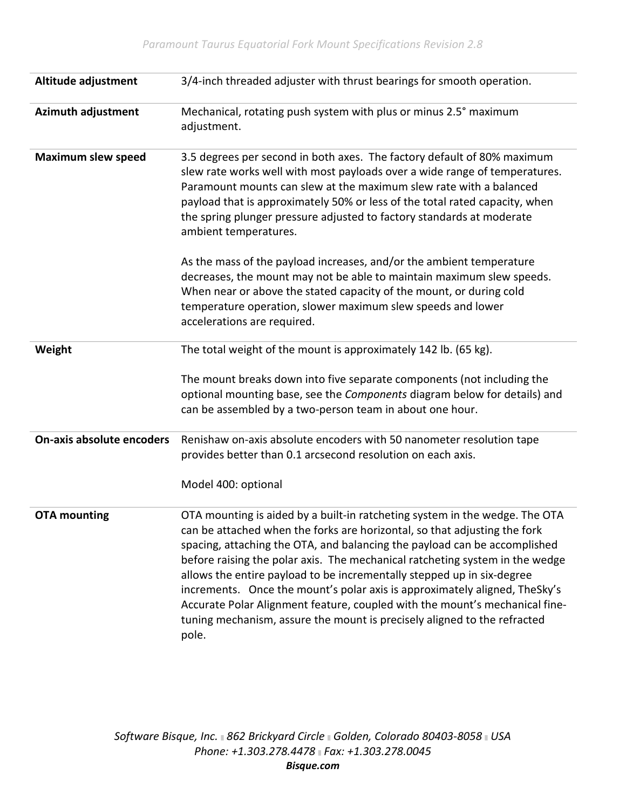| Altitude adjustment       | 3/4-inch threaded adjuster with thrust bearings for smooth operation.                                                                                                                                                                                                                                                                                                                                                                                                                                                                                                                                                                             |
|---------------------------|---------------------------------------------------------------------------------------------------------------------------------------------------------------------------------------------------------------------------------------------------------------------------------------------------------------------------------------------------------------------------------------------------------------------------------------------------------------------------------------------------------------------------------------------------------------------------------------------------------------------------------------------------|
| <b>Azimuth adjustment</b> | Mechanical, rotating push system with plus or minus 2.5° maximum<br>adjustment.                                                                                                                                                                                                                                                                                                                                                                                                                                                                                                                                                                   |
| <b>Maximum slew speed</b> | 3.5 degrees per second in both axes. The factory default of 80% maximum<br>slew rate works well with most payloads over a wide range of temperatures.<br>Paramount mounts can slew at the maximum slew rate with a balanced<br>payload that is approximately 50% or less of the total rated capacity, when<br>the spring plunger pressure adjusted to factory standards at moderate<br>ambient temperatures.                                                                                                                                                                                                                                      |
|                           | As the mass of the payload increases, and/or the ambient temperature<br>decreases, the mount may not be able to maintain maximum slew speeds.<br>When near or above the stated capacity of the mount, or during cold<br>temperature operation, slower maximum slew speeds and lower<br>accelerations are required.                                                                                                                                                                                                                                                                                                                                |
| Weight                    | The total weight of the mount is approximately 142 lb. (65 kg).                                                                                                                                                                                                                                                                                                                                                                                                                                                                                                                                                                                   |
|                           | The mount breaks down into five separate components (not including the<br>optional mounting base, see the Components diagram below for details) and<br>can be assembled by a two-person team in about one hour.                                                                                                                                                                                                                                                                                                                                                                                                                                   |
| On-axis absolute encoders | Renishaw on-axis absolute encoders with 50 nanometer resolution tape<br>provides better than 0.1 arcsecond resolution on each axis.                                                                                                                                                                                                                                                                                                                                                                                                                                                                                                               |
|                           | Model 400: optional                                                                                                                                                                                                                                                                                                                                                                                                                                                                                                                                                                                                                               |
| <b>OTA mounting</b>       | OTA mounting is aided by a built-in ratcheting system in the wedge. The OTA<br>can be attached when the forks are horizontal, so that adjusting the fork<br>spacing, attaching the OTA, and balancing the payload can be accomplished<br>before raising the polar axis. The mechanical ratcheting system in the wedge<br>allows the entire payload to be incrementally stepped up in six-degree<br>increments. Once the mount's polar axis is approximately aligned, TheSky's<br>Accurate Polar Alignment feature, coupled with the mount's mechanical fine-<br>tuning mechanism, assure the mount is precisely aligned to the refracted<br>pole. |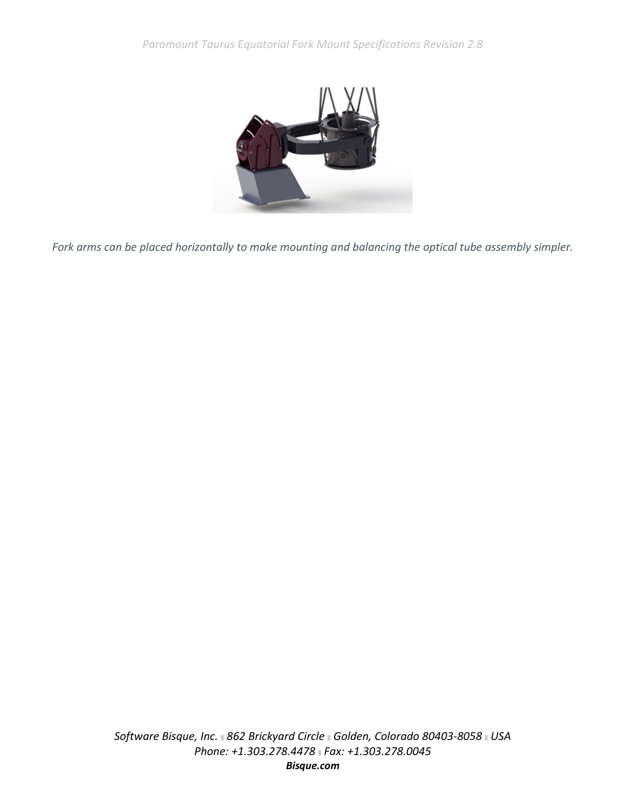

*Fork arms can be placed horizontally to make mounting and balancing the optical tube assembly simpler.*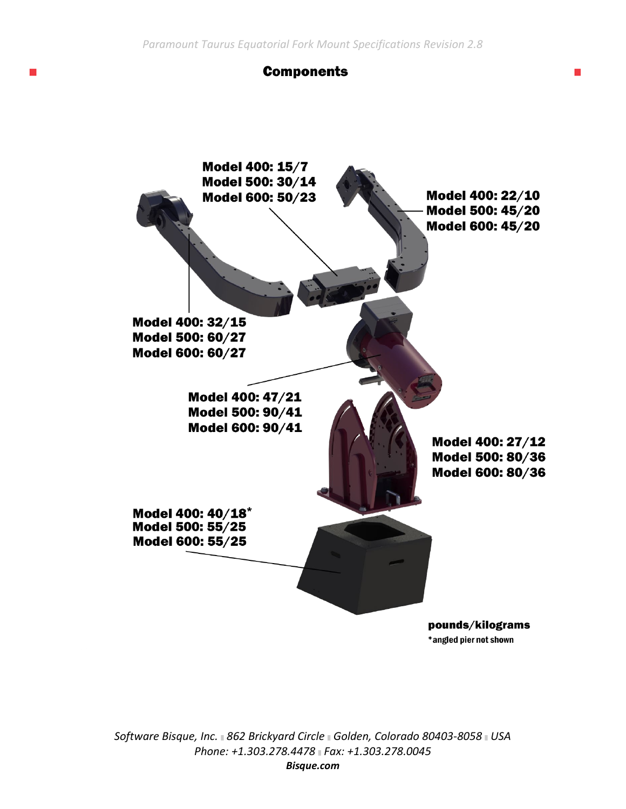## **Components**



\*angled pier not shown